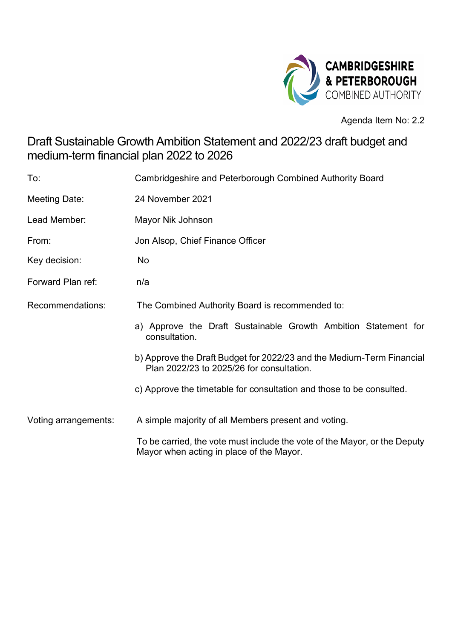

Agenda Item No: 2.2

## Draft Sustainable Growth Ambition Statement and 2022/23 draft budget and medium-term financial plan 2022 to 2026

| To:                  | Cambridgeshire and Peterborough Combined Authority Board                                                              |
|----------------------|-----------------------------------------------------------------------------------------------------------------------|
| Meeting Date:        | 24 November 2021                                                                                                      |
| Lead Member:         | Mayor Nik Johnson                                                                                                     |
| From:                | Jon Alsop, Chief Finance Officer                                                                                      |
| Key decision:        | No                                                                                                                    |
| Forward Plan ref:    | n/a                                                                                                                   |
| Recommendations:     | The Combined Authority Board is recommended to:                                                                       |
|                      | a) Approve the Draft Sustainable Growth Ambition Statement for<br>consultation.                                       |
|                      | b) Approve the Draft Budget for 2022/23 and the Medium-Term Financial<br>Plan 2022/23 to 2025/26 for consultation.    |
|                      | c) Approve the timetable for consultation and those to be consulted.                                                  |
| Voting arrangements: | A simple majority of all Members present and voting.                                                                  |
|                      | To be carried, the vote must include the vote of the Mayor, or the Deputy<br>Mayor when acting in place of the Mayor. |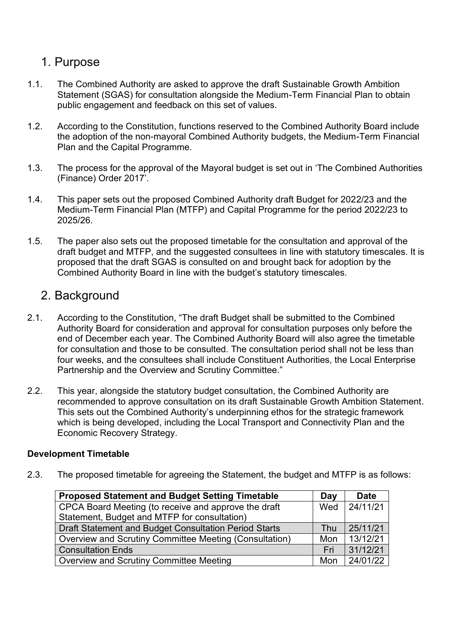## 1. Purpose

- 1.1. The Combined Authority are asked to approve the draft Sustainable Growth Ambition Statement (SGAS) for consultation alongside the Medium-Term Financial Plan to obtain public engagement and feedback on this set of values.
- 1.2. According to the Constitution, functions reserved to the Combined Authority Board include the adoption of the non-mayoral Combined Authority budgets, the Medium-Term Financial Plan and the Capital Programme.
- 1.3. The process for the approval of the Mayoral budget is set out in 'The Combined Authorities (Finance) Order 2017'.
- 1.4. This paper sets out the proposed Combined Authority draft Budget for 2022/23 and the Medium-Term Financial Plan (MTFP) and Capital Programme for the period 2022/23 to 2025/26.
- 1.5. The paper also sets out the proposed timetable for the consultation and approval of the draft budget and MTFP, and the suggested consultees in line with statutory timescales. It is proposed that the draft SGAS is consulted on and brought back for adoption by the Combined Authority Board in line with the budget's statutory timescales.

### 2. Background

- 2.1. According to the Constitution, "The draft Budget shall be submitted to the Combined Authority Board for consideration and approval for consultation purposes only before the end of December each year. The Combined Authority Board will also agree the timetable for consultation and those to be consulted. The consultation period shall not be less than four weeks, and the consultees shall include Constituent Authorities, the Local Enterprise Partnership and the Overview and Scrutiny Committee."
- 2.2. This year, alongside the statutory budget consultation, the Combined Authority are recommended to approve consultation on its draft Sustainable Growth Ambition Statement. This sets out the Combined Authority's underpinning ethos for the strategic framework which is being developed, including the Local Transport and Connectivity Plan and the Economic Recovery Strategy.

#### **Development Timetable**

2.3. The proposed timetable for agreeing the Statement, the budget and MTFP is as follows:

| <b>Proposed Statement and Budget Setting Timetable</b> | Day | <b>Date</b> |
|--------------------------------------------------------|-----|-------------|
| CPCA Board Meeting (to receive and approve the draft   | Wed | 24/11/21    |
| Statement, Budget and MTFP for consultation)           |     |             |
| Draft Statement and Budget Consultation Period Starts  | Thu | 25/11/21    |
| Overview and Scrutiny Committee Meeting (Consultation) | Mon | 13/12/21    |
| <b>Consultation Ends</b>                               | Fri | 31/12/21    |
| Overview and Scrutiny Committee Meeting                | Mon | 24/01/22    |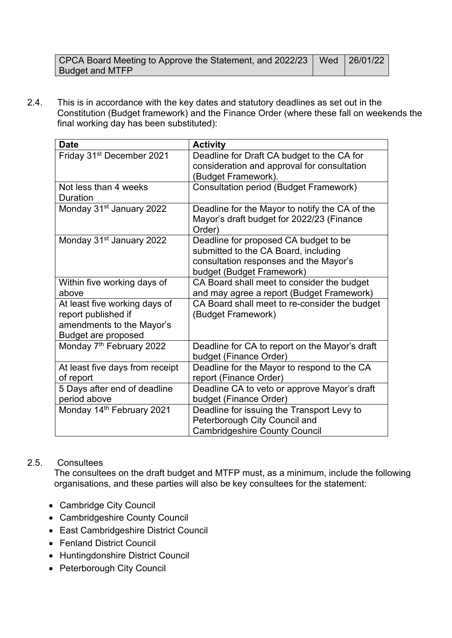| CPCA Board Meeting to Approve the Statement, and 2022/23   Wed   26/01/22 |  |
|---------------------------------------------------------------------------|--|
| <b>Budget and MTFP</b>                                                    |  |

2.4. This is in accordance with the key dates and statutory deadlines as set out in the Constitution (Budget framework) and the Finance Order (where these fall on weekends the final working day has been substituted):

| <b>Date</b>                              | <b>Activity</b>                                     |
|------------------------------------------|-----------------------------------------------------|
| Friday 31 <sup>st</sup> December 2021    | Deadline for Draft CA budget to the CA for          |
|                                          | consideration and approval for consultation         |
|                                          | (Budget Framework).                                 |
| Not less than 4 weeks<br><b>Duration</b> | <b>Consultation period (Budget Framework)</b>       |
| Monday 31 <sup>st</sup> January 2022     | Deadline for the Mayor to notify the CA of the      |
|                                          | Mayor's draft budget for 2022/23 (Finance<br>Order) |
| Monday 31 <sup>st</sup> January 2022     | Deadline for proposed CA budget to be               |
|                                          | submitted to the CA Board, including                |
|                                          | consultation responses and the Mayor's              |
|                                          | budget (Budget Framework)                           |
| Within five working days of              | CA Board shall meet to consider the budget          |
| above                                    | and may agree a report (Budget Framework)           |
| At least five working days of            | CA Board shall meet to re-consider the budget       |
| report published if                      | (Budget Framework)                                  |
| amendments to the Mayor's                |                                                     |
| Budget are proposed                      |                                                     |
| Monday 7 <sup>th</sup> February 2022     | Deadline for CA to report on the Mayor's draft      |
|                                          | budget (Finance Order)                              |
| At least five days from receipt          | Deadline for the Mayor to respond to the CA         |
| of report                                | report (Finance Order)                              |
| 5 Days after end of deadline             | Deadline CA to veto or approve Mayor's draft        |
| period above                             | budget (Finance Order)                              |
| Monday 14th February 2021                | Deadline for issuing the Transport Levy to          |
|                                          | Peterborough City Council and                       |
|                                          | <b>Cambridgeshire County Council</b>                |

#### 2.5. Consultees

The consultees on the draft budget and MTFP must, as a minimum, include the following organisations, and these parties will also be key consultees for the statement:

- Cambridge City Council
- Cambridgeshire County Council
- East Cambridgeshire District Council
- Fenland District Council
- Huntingdonshire District Council
- Peterborough City Council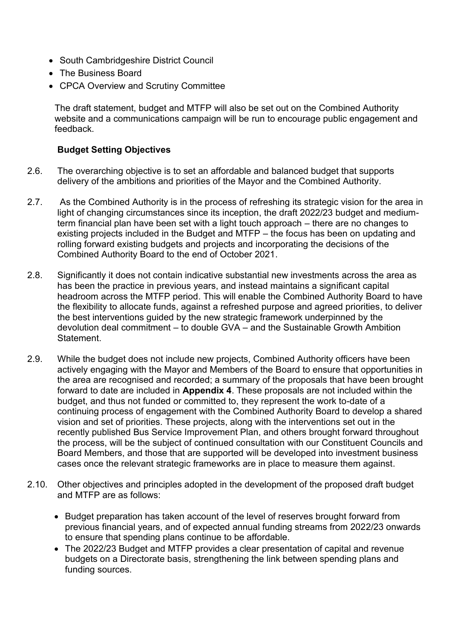- South Cambridgeshire District Council
- The Business Board
- CPCA Overview and Scrutiny Committee

The draft statement, budget and MTFP will also be set out on the Combined Authority website and a communications campaign will be run to encourage public engagement and feedback.

#### **Budget Setting Objectives**

- 2.6. The overarching objective is to set an affordable and balanced budget that supports delivery of the ambitions and priorities of the Mayor and the Combined Authority.
- 2.7. As the Combined Authority is in the process of refreshing its strategic vision for the area in light of changing circumstances since its inception, the draft 2022/23 budget and mediumterm financial plan have been set with a light touch approach – there are no changes to existing projects included in the Budget and MTFP – the focus has been on updating and rolling forward existing budgets and projects and incorporating the decisions of the Combined Authority Board to the end of October 2021.
- 2.8. Significantly it does not contain indicative substantial new investments across the area as has been the practice in previous years, and instead maintains a significant capital headroom across the MTFP period. This will enable the Combined Authority Board to have the flexibility to allocate funds, against a refreshed purpose and agreed priorities, to deliver the best interventions guided by the new strategic framework underpinned by the devolution deal commitment – to double GVA – and the Sustainable Growth Ambition **Statement**
- 2.9. While the budget does not include new projects, Combined Authority officers have been actively engaging with the Mayor and Members of the Board to ensure that opportunities in the area are recognised and recorded; a summary of the proposals that have been brought forward to date are included in **Appendix 4**. These proposals are not included within the budget, and thus not funded or committed to, they represent the work to-date of a continuing process of engagement with the Combined Authority Board to develop a shared vision and set of priorities. These projects, along with the interventions set out in the recently published Bus Service Improvement Plan, and others brought forward throughout the process, will be the subject of continued consultation with our Constituent Councils and Board Members, and those that are supported will be developed into investment business cases once the relevant strategic frameworks are in place to measure them against.
- 2.10. Other objectives and principles adopted in the development of the proposed draft budget and MTFP are as follows:
	- Budget preparation has taken account of the level of reserves brought forward from previous financial years, and of expected annual funding streams from 2022/23 onwards to ensure that spending plans continue to be affordable.
	- The 2022/23 Budget and MTFP provides a clear presentation of capital and revenue budgets on a Directorate basis, strengthening the link between spending plans and funding sources.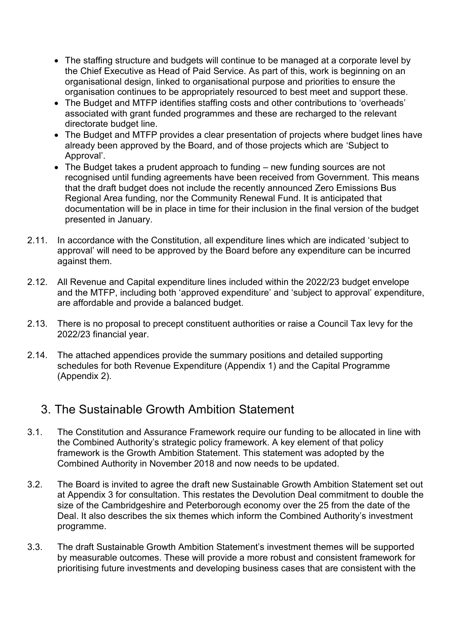- The staffing structure and budgets will continue to be managed at a corporate level by the Chief Executive as Head of Paid Service. As part of this, work is beginning on an organisational design, linked to organisational purpose and priorities to ensure the organisation continues to be appropriately resourced to best meet and support these.
- The Budget and MTFP identifies staffing costs and other contributions to 'overheads' associated with grant funded programmes and these are recharged to the relevant directorate budget line.
- The Budget and MTFP provides a clear presentation of projects where budget lines have already been approved by the Board, and of those projects which are 'Subject to Approval'.
- The Budget takes a prudent approach to funding new funding sources are not recognised until funding agreements have been received from Government. This means that the draft budget does not include the recently announced Zero Emissions Bus Regional Area funding, nor the Community Renewal Fund. It is anticipated that documentation will be in place in time for their inclusion in the final version of the budget presented in January.
- 2.11. In accordance with the Constitution, all expenditure lines which are indicated 'subject to approval' will need to be approved by the Board before any expenditure can be incurred against them.
- 2.12. All Revenue and Capital expenditure lines included within the 2022/23 budget envelope and the MTFP, including both 'approved expenditure' and 'subject to approval' expenditure, are affordable and provide a balanced budget.
- 2.13. There is no proposal to precept constituent authorities or raise a Council Tax levy for the 2022/23 financial year.
- 2.14. The attached appendices provide the summary positions and detailed supporting schedules for both Revenue Expenditure (Appendix 1) and the Capital Programme (Appendix 2).

## 3. The Sustainable Growth Ambition Statement

- 3.1. The Constitution and Assurance Framework require our funding to be allocated in line with the Combined Authority's strategic policy framework. A key element of that policy framework is the Growth Ambition Statement. This statement was adopted by the Combined Authority in November 2018 and now needs to be updated.
- 3.2. The Board is invited to agree the draft new Sustainable Growth Ambition Statement set out at Appendix 3 for consultation. This restates the Devolution Deal commitment to double the size of the Cambridgeshire and Peterborough economy over the 25 from the date of the Deal. It also describes the six themes which inform the Combined Authority's investment programme.
- 3.3. The draft Sustainable Growth Ambition Statement's investment themes will be supported by measurable outcomes. These will provide a more robust and consistent framework for prioritising future investments and developing business cases that are consistent with the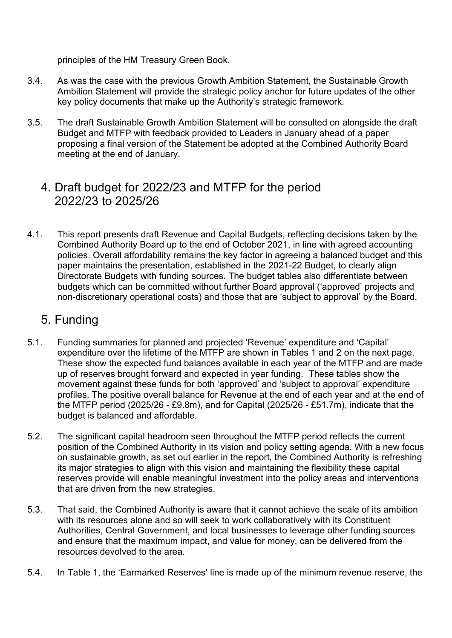principles of the HM Treasury Green Book.

- 3.4. As was the case with the previous Growth Ambition Statement, the Sustainable Growth Ambition Statement will provide the strategic policy anchor for future updates of the other key policy documents that make up the Authority's strategic framework.
- 3.5. The draft Sustainable Growth Ambition Statement will be consulted on alongside the draft Budget and MTFP with feedback provided to Leaders in January ahead of a paper proposing a final version of the Statement be adopted at the Combined Authority Board meeting at the end of January.

## 4. Draft budget for 2022/23 and MTFP for the period 2022/23 to 2025/26

4.1. This report presents draft Revenue and Capital Budgets, reflecting decisions taken by the Combined Authority Board up to the end of October 2021, in line with agreed accounting policies. Overall affordability remains the key factor in agreeing a balanced budget and this paper maintains the presentation, established in the 2021-22 Budget, to clearly align Directorate Budgets with funding sources. The budget tables also differentiate between budgets which can be committed without further Board approval ('approved' projects and non-discretionary operational costs) and those that are 'subject to approval' by the Board.

## 5. Funding

- 5.1. Funding summaries for planned and projected 'Revenue' expenditure and 'Capital' expenditure over the lifetime of the MTFP are shown in Tables 1 and 2 on the next page. These show the expected fund balances available in each year of the MTFP and are made up of reserves brought forward and expected in year funding. These tables show the movement against these funds for both 'approved' and 'subject to approval' expenditure profiles. The positive overall balance for Revenue at the end of each year and at the end of the MTFP period (2025/26 - £9.8m), and for Capital (2025/26 - £51.7m), indicate that the budget is balanced and affordable.
- 5.2. The significant capital headroom seen throughout the MTFP period reflects the current position of the Combined Authority in its vision and policy setting agenda. With a new focus on sustainable growth, as set out earlier in the report, the Combined Authority is refreshing its major strategies to align with this vision and maintaining the flexibility these capital reserves provide will enable meaningful investment into the policy areas and interventions that are driven from the new strategies.
- 5.3. That said, the Combined Authority is aware that it cannot achieve the scale of its ambition with its resources alone and so will seek to work collaboratively with its Constituent Authorities, Central Government, and local businesses to leverage other funding sources and ensure that the maximum impact, and value for money, can be delivered from the resources devolved to the area.
- 5.4. In Table 1, the 'Earmarked Reserves' line is made up of the minimum revenue reserve, the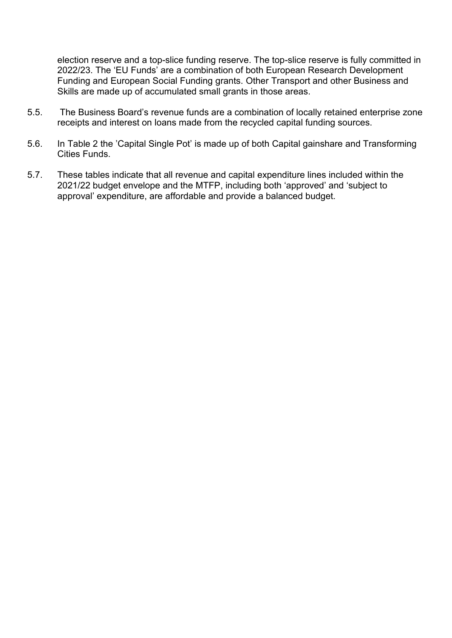election reserve and a top-slice funding reserve. The top-slice reserve is fully committed in 2022/23. The 'EU Funds' are a combination of both European Research Development Funding and European Social Funding grants. Other Transport and other Business and Skills are made up of accumulated small grants in those areas.

- 5.5. The Business Board's revenue funds are a combination of locally retained enterprise zone receipts and interest on loans made from the recycled capital funding sources.
- 5.6. In Table 2 the 'Capital Single Pot' is made up of both Capital gainshare and Transforming Cities Funds.
- 5.7. These tables indicate that all revenue and capital expenditure lines included within the 2021/22 budget envelope and the MTFP, including both 'approved' and 'subject to approval' expenditure, are affordable and provide a balanced budget.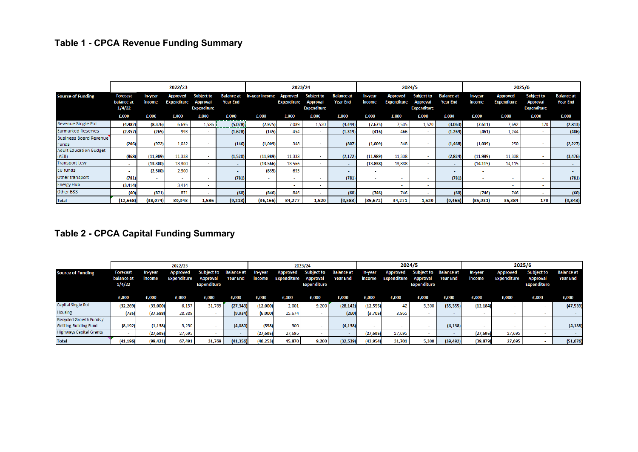# **Table 1 - CPCA Revenue Funding Summary**

|                                        |                                         |                   | 2022/23                        |                                                     |                                      | 2023/24        |                                |                                                     |                                      |                   |                                | 2024/5                                              |                                      | 2025/6            |                                |                                                     |                               |
|----------------------------------------|-----------------------------------------|-------------------|--------------------------------|-----------------------------------------------------|--------------------------------------|----------------|--------------------------------|-----------------------------------------------------|--------------------------------------|-------------------|--------------------------------|-----------------------------------------------------|--------------------------------------|-------------------|--------------------------------|-----------------------------------------------------|-------------------------------|
| <b>Source of Funding</b>               | <b>Forecast</b><br>balance at<br>1/4/22 | In-year<br>income | Approved<br><b>Expenditure</b> | <b>Subject to</b><br>Approval<br><b>Expenditure</b> | <b>Balance at</b><br><b>Year End</b> | In-year income | Approved<br><b>Expenditure</b> | <b>Subject to</b><br>Approval<br><b>Expenditure</b> | <b>Balance at</b><br><b>Year End</b> | In-year<br>income | Approved<br><b>Expenditure</b> | <b>Subject to</b><br>Approval<br><b>Expenditure</b> | <b>Balance at</b><br><b>Year End</b> | In-year<br>income | Approved<br><b>Expenditure</b> | <b>Subject to</b><br>Approval<br><b>Expenditure</b> | <b>Balance at</b><br>Year End |
|                                        | £,000                                   | £.000             | £.000                          | £.000                                               | £,000                                | £,000          | £.000                          | £,000                                               | £,000                                | £,000             | £,000                          | £,000                                               | £,000                                | £,000             | £,000                          | £,000                                               | £,000                         |
| Revenue Single Pot                     | (4,982)                                 | (8, 376)          | 6.695                          | 1.586                                               | (5.078)                              | (7, 975)       | 7,089                          | 1,520                                               | (4, 444)                             | (7, 675)          | 7,535                          | 1,520                                               | (3,063)                              | (7, 611)          | 7.692                          | 170                                                 | (2,813)                       |
| <b>Earmarked Reserves</b>              | (2, 357)                                | (265)             | 993                            |                                                     | (1,628)                              | (145)          | 454                            |                                                     | (1, 319)                             | (416)             | 466                            |                                                     | (1, 269)                             | (461)             | 1,244                          |                                                     | (486)                         |
| <b>Business Board Revenue</b><br>Funds | (206)                                   | (972)             | 1.032                          |                                                     | (146)                                | (1,009)        | 348                            |                                                     | (807)                                | (1,009)           | 348                            |                                                     | (1, 468)                             | (1,009)           | 250                            |                                                     | (2, 227)                      |
| <b>Adult Education Budget</b><br>(AEB) | (868)                                   | (11,989)          | 11,338                         |                                                     | (1,520)                              | (11,989)       | 11,338                         |                                                     | (2, 172)                             | (11,989)          | 11,338                         |                                                     | (2,824)                              | (11,989)          | 11,338                         |                                                     | (3, 476)                      |
| <b>Transport Levy</b>                  |                                         | (13, 300)         | 13,300                         |                                                     |                                      | (13, 566)      | 13,566                         | $\sim$                                              | $\sim$                               | (13, 838)         | 13,838                         |                                                     | $\sim$                               | (14, 115)         | 14,115                         | $\overline{\phantom{a}}$                            |                               |
| <b>EU funds</b>                        | <b>.</b>                                | (2, 300)          | 2,300                          |                                                     |                                      | (635)          | 635                            | $\sim$                                              |                                      |                   | $\sim$                         |                                                     |                                      |                   |                                | $\overline{\phantom{a}}$                            |                               |
| Other transport                        | (781)                                   | $\sim$            | $\sim$                         |                                                     | (781)                                | $\sim$         |                                |                                                     | (781)                                |                   | ۰.                             |                                                     | (781)                                |                   |                                | $\overline{\phantom{a}}$                            | (781)                         |
| <b>Energy Hub</b>                      | (3, 414)                                | $\sim$            | 3,414                          |                                                     | $\sim$                               | $\sim$         |                                | . .                                                 | $\sim$                               |                   | $\sim$                         |                                                     |                                      |                   |                                | $\sim$                                              |                               |
| Other B&S                              | (60)                                    | (871)             | 871                            | $\sim$                                              | (60)                                 | (846)          | 846                            | $\overline{\phantom{a}}$                            | (60)                                 | (746)             | 746                            |                                                     | (60)                                 | (746)             | 746                            | $\sim$                                              | (60)                          |
| <b>Total</b>                           | (12, 668)                               | (38,074)          | 39,943                         | 1,586                                               | (9,213)                              | (36, 166)      | 34,277                         | 1,520                                               | (9,583)                              | (35, 672)         | 34,271                         | 1,520                                               | (9, 465)                             | (35, 931)         | 35,384                         | 170                                                 | (9,843)                       |

## **Table 2 - CPCA Capital Funding Summary**

|                                |                                         |                   | 2022/23                 |                                                                       |           | 2023/24           |                                         |                                  |                               |                          | 2024/5                  |                                       |                                          | 2025/6            |                                |                                                            |                                      |
|--------------------------------|-----------------------------------------|-------------------|-------------------------|-----------------------------------------------------------------------|-----------|-------------------|-----------------------------------------|----------------------------------|-------------------------------|--------------------------|-------------------------|---------------------------------------|------------------------------------------|-------------------|--------------------------------|------------------------------------------------------------|--------------------------------------|
| <b>Source of Funding</b>       | <b>Forecast</b><br>balance at<br>1/4/22 | In-year<br>income | Approved<br>Expenditure | <b>Subject to Balance at</b><br><b>Approval</b><br><b>Expenditure</b> | Year End  | In-year<br>income | Approved<br><b>Expenditure Approval</b> | Subject to<br><b>Expenditure</b> | <b>Balance at</b><br>Year End | <b>In-year</b><br>income | Approved<br>Expenditure | <b>Approval</b><br><b>Expenditure</b> | Subject to Balance at<br><b>Year End</b> | In-year<br>income | <b>Approved</b><br>Expenditure | <b>Subject to</b><br><b>Approval</b><br><b>Expenditure</b> | <b>Balance at</b><br><b>Year End</b> |
|                                | £,000                                   | £,000             | £,000                   | £,000                                                                 | £,000     | £,000             | £,000                                   | £,000                            | £.000                         | £,000                    | £,000                   | £,000                                 | £,000                                    | £,000             | £,000                          | £,000                                                      | £,000                                |
| Capital Single Pot             | (32, 269)                               | (33,000)          | 6,157                   | 31,769                                                                | (27, 343) | (12,000)          | 2,001                                   | 9,200                            | (28, 142)                     | (12, 555)                | 42                      | 5,300                                 | (35, 355)                                | (12, 184)         |                                |                                                            | (47, 539)                            |
| <b>Housing</b>                 | (735)                                   | (37, 588)         | 28,389                  |                                                                       | (9,934)   | (6,000)           | 15,674                                  |                                  | (260)                         | (3,705)                  | 3,965                   |                                       |                                          |                   |                                |                                                            |                                      |
| Recycled Growth Funds /        |                                         |                   |                         |                                                                       |           |                   |                                         |                                  |                               |                          |                         |                                       |                                          |                   |                                |                                                            |                                      |
| <b>Getting Building Fund</b>   | (8, 192)                                | (1, 138)          | 5,250                   |                                                                       | (4,080)   | (558)             | 500                                     |                                  | (4, 138)                      |                          |                         |                                       | (4, 138)                                 |                   |                                |                                                            | (4, 138)                             |
| <b>Highways Capital Grants</b> |                                         | (27, 695)         | 27,695                  |                                                                       |           | (27, 695)         | 27,695                                  |                                  |                               | (27, 695)                | 27,695                  |                                       |                                          | (27, 695)         | 27,695                         |                                                            |                                      |
| <b>Total</b>                   | (41, 196)                               | (99, 421)         | 67,491                  | 31,769                                                                | (41, 356) | (46, 253)         | 45,870                                  | 9,200                            | (32, 539)                     | (43, 954)                | 31,701                  | 5,300                                 | (39, 492)                                | (39, 879)         | 27,695                         |                                                            | (51, 676)                            |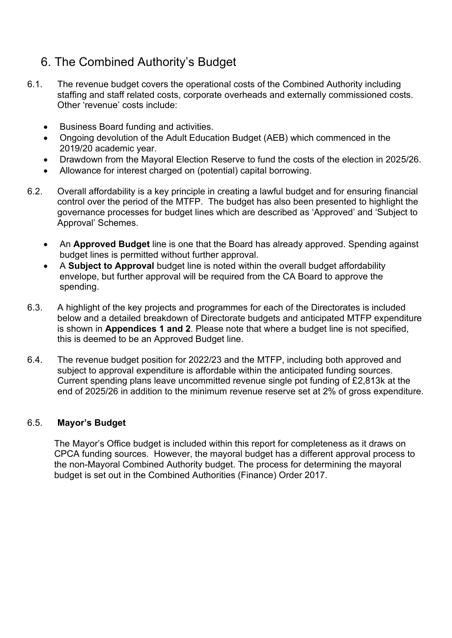## 6. The Combined Authority's Budget

- 6.1. The revenue budget covers the operational costs of the Combined Authority including staffing and staff related costs, corporate overheads and externally commissioned costs. Other 'revenue' costs include:
	- Business Board funding and activities.
	- Ongoing devolution of the Adult Education Budget (AEB) which commenced in the 2019/20 academic year.
	- Drawdown from the Mayoral Election Reserve to fund the costs of the election in 2025/26.
	- Allowance for interest charged on (potential) capital borrowing.
- 6.2. Overall affordability is a key principle in creating a lawful budget and for ensuring financial control over the period of the MTFP. The budget has also been presented to highlight the governance processes for budget lines which are described as 'Approved' and 'Subject to Approval' Schemes.
	- An **Approved Budget** line is one that the Board has already approved. Spending against budget lines is permitted without further approval.
	- A **Subject to Approval** budget line is noted within the overall budget affordability envelope, but further approval will be required from the CA Board to approve the spending.
- 6.3. A highlight of the key projects and programmes for each of the Directorates is included below and a detailed breakdown of Directorate budgets and anticipated MTFP expenditure is shown in **Appendices 1 and 2**. Please note that where a budget line is not specified, this is deemed to be an Approved Budget line.
- 6.4. The revenue budget position for 2022/23 and the MTFP, including both approved and subject to approval expenditure is affordable within the anticipated funding sources. Current spending plans leave uncommitted revenue single pot funding of £2,813k at the end of 2025/26 in addition to the minimum revenue reserve set at 2% of gross expenditure.

#### 6.5. **Mayor's Budget**

The Mayor's Office budget is included within this report for completeness as it draws on CPCA funding sources. However, the mayoral budget has a different approval process to the non-Mayoral Combined Authority budget. The process for determining the mayoral budget is set out in the Combined Authorities (Finance) Order 2017.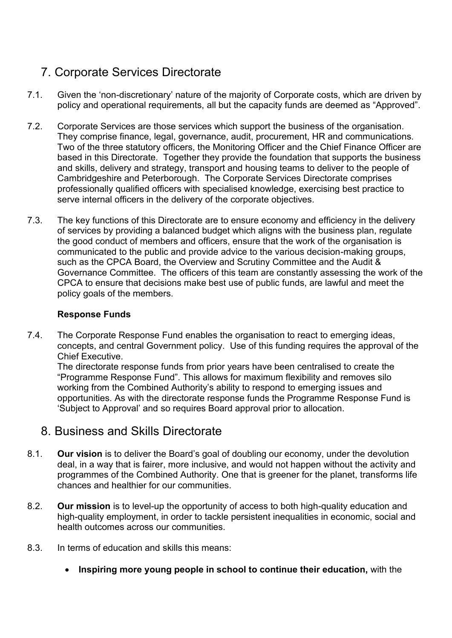# 7. Corporate Services Directorate

- 7.1. Given the 'non-discretionary' nature of the majority of Corporate costs, which are driven by policy and operational requirements, all but the capacity funds are deemed as "Approved".
- 7.2. Corporate Services are those services which support the business of the organisation. They comprise finance, legal, governance, audit, procurement, HR and communications. Two of the three statutory officers, the Monitoring Officer and the Chief Finance Officer are based in this Directorate. Together they provide the foundation that supports the business and skills, delivery and strategy, transport and housing teams to deliver to the people of Cambridgeshire and Peterborough. The Corporate Services Directorate comprises professionally qualified officers with specialised knowledge, exercising best practice to serve internal officers in the delivery of the corporate objectives.
- 7.3. The key functions of this Directorate are to ensure economy and efficiency in the delivery of services by providing a balanced budget which aligns with the business plan, regulate the good conduct of members and officers, ensure that the work of the organisation is communicated to the public and provide advice to the various decision-making groups, such as the CPCA Board, the Overview and Scrutiny Committee and the Audit & Governance Committee. The officers of this team are constantly assessing the work of the CPCA to ensure that decisions make best use of public funds, are lawful and meet the policy goals of the members.

#### **Response Funds**

7.4. The Corporate Response Fund enables the organisation to react to emerging ideas, concepts, and central Government policy. Use of this funding requires the approval of the Chief Executive.

The directorate response funds from prior years have been centralised to create the "Programme Response Fund". This allows for maximum flexibility and removes silo working from the Combined Authority's ability to respond to emerging issues and opportunities. As with the directorate response funds the Programme Response Fund is 'Subject to Approval' and so requires Board approval prior to allocation.

### 8. Business and Skills Directorate

- 8.1. **Our vision** is to deliver the Board's goal of doubling our economy, under the devolution deal, in a way that is fairer, more inclusive, and would not happen without the activity and programmes of the Combined Authority. One that is greener for the planet, transforms life chances and healthier for our communities.
- 8.2. **Our mission** is to level-up the opportunity of access to both high-quality education and high-quality employment, in order to tackle persistent inequalities in economic, social and health outcomes across our communities.
- 8.3. In terms of education and skills this means:
	- **Inspiring more young people in school to continue their education,** with the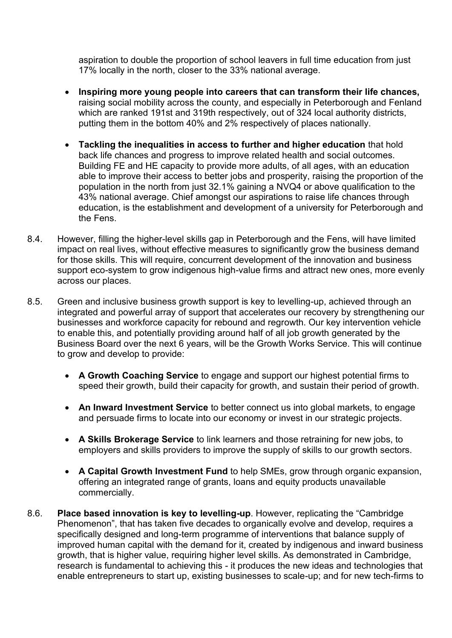aspiration to double the proportion of school leavers in full time education from just 17% locally in the north, closer to the 33% national average.

- **Inspiring more young people into careers that can transform their life chances,**  raising social mobility across the county, and especially in Peterborough and Fenland which are ranked 191st and 319th respectively, out of 324 local authority districts, putting them in the bottom 40% and 2% respectively of places nationally.
- **Tackling the inequalities in access to further and higher education** that hold back life chances and progress to improve related health and social outcomes. Building FE and HE capacity to provide more adults, of all ages, with an education able to improve their access to better jobs and prosperity, raising the proportion of the population in the north from just 32.1% gaining a NVQ4 or above qualification to the 43% national average. Chief amongst our aspirations to raise life chances through education, is the establishment and development of a university for Peterborough and the Fens.
- 8.4. However, filling the higher-level skills gap in Peterborough and the Fens, will have limited impact on real lives, without effective measures to significantly grow the business demand for those skills. This will require, concurrent development of the innovation and business support eco-system to grow indigenous high-value firms and attract new ones, more evenly across our places.
- 8.5. Green and inclusive business growth support is key to levelling-up, achieved through an integrated and powerful array of support that accelerates our recovery by strengthening our businesses and workforce capacity for rebound and regrowth. Our key intervention vehicle to enable this, and potentially providing around half of all job growth generated by the Business Board over the next 6 years, will be the Growth Works Service. This will continue to grow and develop to provide:
	- **A Growth Coaching Service** to engage and support our highest potential firms to speed their growth, build their capacity for growth, and sustain their period of growth.
	- **An Inward Investment Service** to better connect us into global markets, to engage and persuade firms to locate into our economy or invest in our strategic projects.
	- **A Skills Brokerage Service** to link learners and those retraining for new jobs, to employers and skills providers to improve the supply of skills to our growth sectors.
	- **A Capital Growth Investment Fund** to help SMEs, grow through organic expansion, offering an integrated range of grants, loans and equity products unavailable commercially.
- 8.6. **Place based innovation is key to levelling-up**. However, replicating the "Cambridge Phenomenon", that has taken five decades to organically evolve and develop, requires a specifically designed and long-term programme of interventions that balance supply of improved human capital with the demand for it, created by indigenous and inward business growth, that is higher value, requiring higher level skills. As demonstrated in Cambridge, research is fundamental to achieving this - it produces the new ideas and technologies that enable entrepreneurs to start up, existing businesses to scale-up; and for new tech-firms to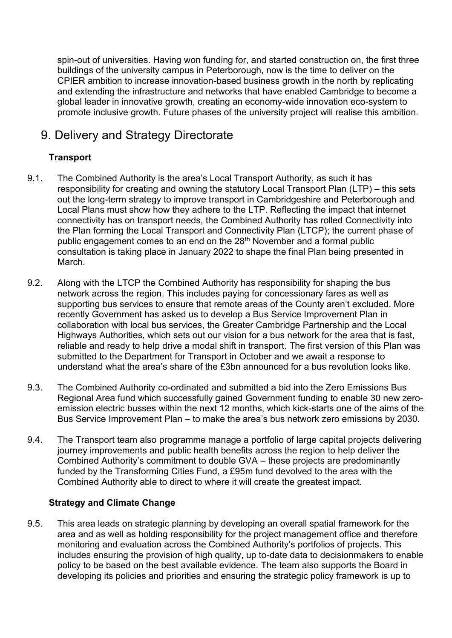spin-out of universities. Having won funding for, and started construction on, the first three buildings of the university campus in Peterborough, now is the time to deliver on the CPIER ambition to increase innovation-based business growth in the north by replicating and extending the infrastructure and networks that have enabled Cambridge to become a global leader in innovative growth, creating an economy-wide innovation eco-system to promote inclusive growth. Future phases of the university project will realise this ambition.

## 9. Delivery and Strategy Directorate

### **Transport**

- 9.1. The Combined Authority is the area's Local Transport Authority, as such it has responsibility for creating and owning the statutory Local Transport Plan (LTP) – this sets out the long-term strategy to improve transport in Cambridgeshire and Peterborough and Local Plans must show how they adhere to the LTP. Reflecting the impact that internet connectivity has on transport needs, the Combined Authority has rolled Connectivity into the Plan forming the Local Transport and Connectivity Plan (LTCP); the current phase of public engagement comes to an end on the 28<sup>th</sup> November and a formal public consultation is taking place in January 2022 to shape the final Plan being presented in March.
- 9.2. Along with the LTCP the Combined Authority has responsibility for shaping the bus network across the region. This includes paying for concessionary fares as well as supporting bus services to ensure that remote areas of the County aren't excluded. More recently Government has asked us to develop a Bus Service Improvement Plan in collaboration with local bus services, the Greater Cambridge Partnership and the Local Highways Authorities, which sets out our vision for a bus network for the area that is fast, reliable and ready to help drive a modal shift in transport. The first version of this Plan was submitted to the Department for Transport in October and we await a response to understand what the area's share of the £3bn announced for a bus revolution looks like.
- 9.3. The Combined Authority co-ordinated and submitted a bid into the Zero Emissions Bus Regional Area fund which successfully gained Government funding to enable 30 new zeroemission electric busses within the next 12 months, which kick-starts one of the aims of the Bus Service Improvement Plan – to make the area's bus network zero emissions by 2030.
- 9.4. The Transport team also programme manage a portfolio of large capital projects delivering journey improvements and public health benefits across the region to help deliver the Combined Authority's commitment to double GVA – these projects are predominantly funded by the Transforming Cities Fund, a £95m fund devolved to the area with the Combined Authority able to direct to where it will create the greatest impact.

### **Strategy and Climate Change**

9.5. This area leads on strategic planning by developing an overall spatial framework for the area and as well as holding responsibility for the project management office and therefore monitoring and evaluation across the Combined Authority's portfolios of projects. This includes ensuring the provision of high quality, up to-date data to decisionmakers to enable policy to be based on the best available evidence. The team also supports the Board in developing its policies and priorities and ensuring the strategic policy framework is up to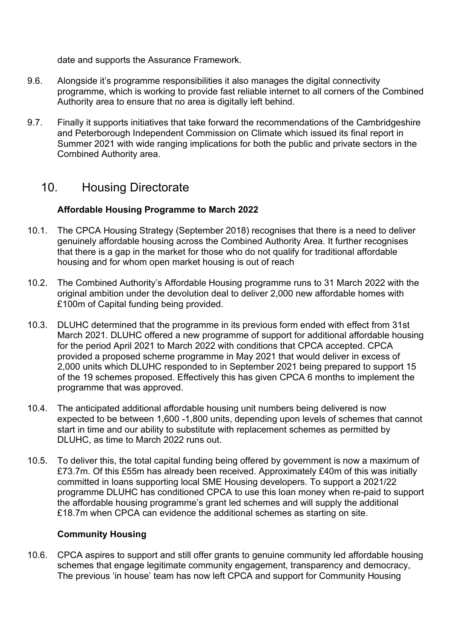date and supports the Assurance Framework.

- 9.6. Alongside it's programme responsibilities it also manages the digital connectivity programme, which is working to provide fast reliable internet to all corners of the Combined Authority area to ensure that no area is digitally left behind.
- 9.7. Finally it supports initiatives that take forward the recommendations of the Cambridgeshire and Peterborough Independent Commission on Climate which issued its final report in Summer 2021 with wide ranging implications for both the public and private sectors in the Combined Authority area.

### 10. Housing Directorate

### **Affordable Housing Programme to March 2022**

- 10.1. The CPCA Housing Strategy (September 2018) recognises that there is a need to deliver genuinely affordable housing across the Combined Authority Area. It further recognises that there is a gap in the market for those who do not qualify for traditional affordable housing and for whom open market housing is out of reach
- 10.2. The Combined Authority's Affordable Housing programme runs to 31 March 2022 with the original ambition under the devolution deal to deliver 2,000 new affordable homes with £100m of Capital funding being provided.
- 10.3. DLUHC determined that the programme in its previous form ended with effect from 31st March 2021. DLUHC offered a new programme of support for additional affordable housing for the period April 2021 to March 2022 with conditions that CPCA accepted. CPCA provided a proposed scheme programme in May 2021 that would deliver in excess of 2,000 units which DLUHC responded to in September 2021 being prepared to support 15 of the 19 schemes proposed. Effectively this has given CPCA 6 months to implement the programme that was approved.
- 10.4. The anticipated additional affordable housing unit numbers being delivered is now expected to be between 1,600 -1,800 units, depending upon levels of schemes that cannot start in time and our ability to substitute with replacement schemes as permitted by DLUHC, as time to March 2022 runs out.
- 10.5. To deliver this, the total capital funding being offered by government is now a maximum of £73.7m. Of this £55m has already been received. Approximately £40m of this was initially committed in loans supporting local SME Housing developers. To support a 2021/22 programme DLUHC has conditioned CPCA to use this loan money when re-paid to support the affordable housing programme's grant led schemes and will supply the additional £18.7m when CPCA can evidence the additional schemes as starting on site.

#### **Community Housing**

10.6. CPCA aspires to support and still offer grants to genuine community led affordable housing schemes that engage legitimate community engagement, transparency and democracy, The previous 'in house' team has now left CPCA and support for Community Housing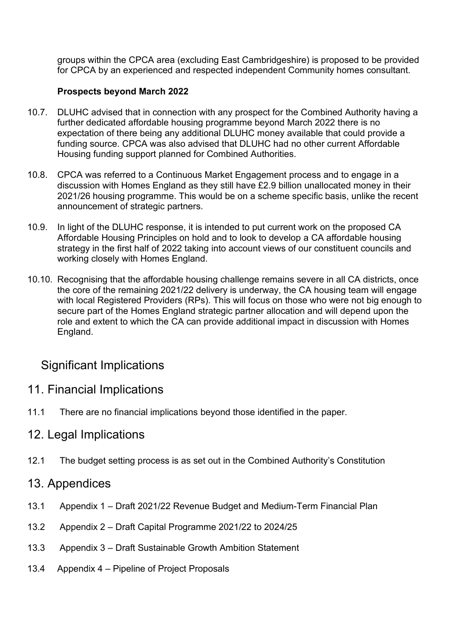groups within the CPCA area (excluding East Cambridgeshire) is proposed to be provided for CPCA by an experienced and respected independent Community homes consultant.

### **Prospects beyond March 2022**

- 10.7. DLUHC advised that in connection with any prospect for the Combined Authority having a further dedicated affordable housing programme beyond March 2022 there is no expectation of there being any additional DLUHC money available that could provide a funding source. CPCA was also advised that DLUHC had no other current Affordable Housing funding support planned for Combined Authorities.
- 10.8. CPCA was referred to a Continuous Market Engagement process and to engage in a discussion with Homes England as they still have £2.9 billion unallocated money in their 2021/26 housing programme. This would be on a scheme specific basis, unlike the recent announcement of strategic partners.
- 10.9. In light of the DLUHC response, it is intended to put current work on the proposed CA Affordable Housing Principles on hold and to look to develop a CA affordable housing strategy in the first half of 2022 taking into account views of our constituent councils and working closely with Homes England.
- 10.10. Recognising that the affordable housing challenge remains severe in all CA districts, once the core of the remaining 2021/22 delivery is underway, the CA housing team will engage with local Registered Providers (RPs). This will focus on those who were not big enough to secure part of the Homes England strategic partner allocation and will depend upon the role and extent to which the CA can provide additional impact in discussion with Homes England.

## Significant Implications

### 11. Financial Implications

11.1 There are no financial implications beyond those identified in the paper.

### 12. Legal Implications

12.1 The budget setting process is as set out in the Combined Authority's Constitution

### 13. Appendices

- 13.1 Appendix 1 Draft 2021/22 Revenue Budget and Medium-Term Financial Plan
- 13.2 Appendix 2 Draft Capital Programme 2021/22 to 2024/25
- 13.3 Appendix 3 Draft Sustainable Growth Ambition Statement
- 13.4 Appendix 4 Pipeline of Project Proposals